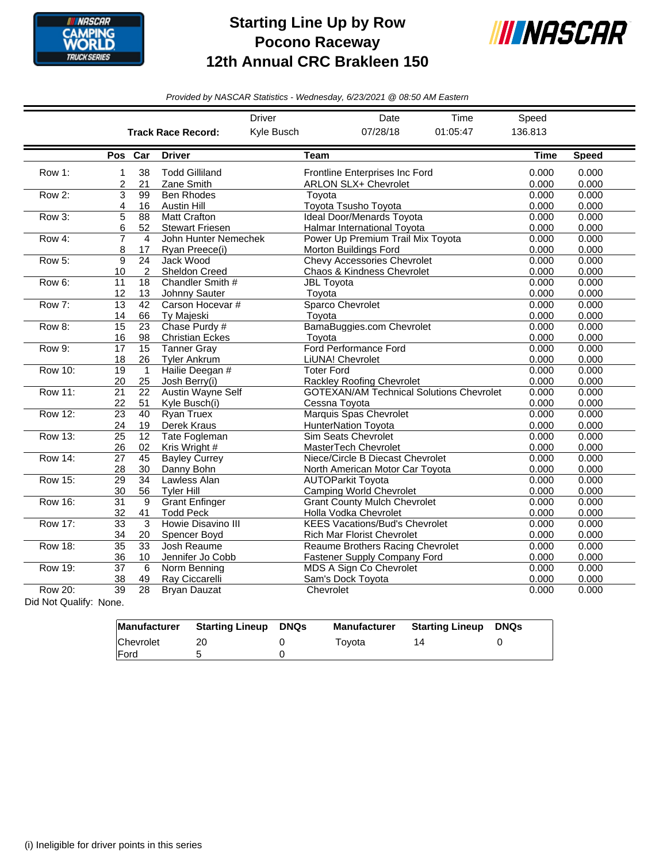

## **Starting Line Up by Row Pocono Raceway 12th Annual CRC Brakleen 150**



*Provided by NASCAR Statistics - Wednesday, 6/23/2021 @ 08:50 AM Eastern*

| 07/28/18<br>136.813<br>Kyle Busch<br>01:05:47<br><b>Track Race Record:</b><br>Pos Car<br><b>Driver</b><br><b>Team</b><br><b>Time</b><br><b>Speed</b><br>38<br><b>Todd Gilliland</b><br>0.000<br>Row 1:<br>Frontline Enterprises Inc Ford<br>0.000<br>1<br>0.000<br>0.000<br>21<br>Zane Smith<br><b>ARLON SLX+ Chevrolet</b><br>2<br>Row 2:<br>3<br>99<br><b>Ben Rhodes</b><br>0.000<br>0.000<br>Tovota<br>Toyota Tsusho Toyota<br>0.000<br>0.000<br>Austin Hill<br>4<br>16<br>Row 3:<br>5<br><b>Matt Crafton</b><br>Ideal Door/Menards Toyota<br>0.000<br>0.000<br>88<br>6<br><b>Stewart Friesen</b><br>0.000<br>0.000<br>52<br><b>Halmar International Tovota</b><br>John Hunter Nemechek<br>0.000<br>Row 4:<br>7<br>Power Up Premium Trail Mix Toyota<br>0.000<br>4<br>0.000<br>0.000<br>Ryan Preece(i)<br>Morton Buildings Ford<br>8<br>17<br>Row 5:<br>9<br>$\overline{24}$<br>Jack Wood<br><b>Chevy Accessories Chevrolet</b><br>0.000<br>0.000<br>$\overline{2}$<br><b>Sheldon Creed</b><br>Chaos & Kindness Chevrolet<br>0.000<br>0.000<br>10<br>11<br>18<br>0.000<br>Row 6:<br>Chandler Smith #<br><b>JBL Toyota</b><br>0.000<br>Johnny Sauter<br>0.000<br>0.000<br>13<br>Toyota<br>12<br>Carson Hocevar #<br>Sparco Chevrolet<br>Row 7:<br>13<br>42<br>0.000<br>0.000<br>0.000<br>0.000<br>Ty Majeski<br>Toyota<br>14<br>66<br>Row 8:<br>15<br>23<br>Chase Purdy #<br>BamaBuggies.com Chevrolet<br>0.000<br>0.000<br>98<br>0.000<br>0.000<br>16<br><b>Christian Eckes</b><br>Toyota<br>$\overline{15}$<br>Ford Performance Ford<br>Row 9:<br>17<br><b>Tanner Gray</b><br>0.000<br>0.000<br><b>Tyler Ankrum</b><br>LiUNA! Chevrolet<br>0.000<br>0.000<br>18<br>26<br>Row 10:<br>Hailie Deegan #<br>0.000<br>19<br><b>Toter Ford</b><br>0.000<br>$\mathbf{1}$<br>0.000<br>0.000<br>20<br>25<br>Josh Berry(i)<br><b>Rackley Roofing Chevrolet</b><br><b>Row 11:</b><br><b>Austin Wayne Self</b><br><b>GOTEXAN/AM Technical Solutions Chevrolet</b><br>21<br>22<br>0.000<br>0.000<br>0.000<br>0.000<br>22<br>Kyle Busch(i)<br>Cessna Toyota<br>51<br><b>Row 12:</b><br><b>Ryan Truex</b><br>Marquis Spas Chevrolet<br>0.000<br>0.000<br>23<br>40<br>0.000<br>0.000<br>Derek Kraus<br><b>HunterNation Toyota</b><br>24<br>19<br>Row 13:<br><b>Sim Seats Chevrolet</b><br>0.000<br>0.000<br>25<br>12<br><b>Tate Fogleman</b><br>MasterTech Chevrolet<br>0.000<br>0.000<br>26<br>02<br>Kris Wright #<br><b>Row 14:</b><br>27<br>45<br><b>Bayley Currey</b><br>Niece/Circle B Diecast Chevrolet<br>0.000<br>0.000<br>North American Motor Car Toyota<br>0.000<br>0.000<br>28<br>30<br>Danny Bohn<br>Row 15:<br>29<br>34<br>Lawless Alan<br><b>AUTOParkit Toyota</b><br>0.000<br>0.000<br><b>Camping World Chevrolet</b><br>0.000<br>0.000<br>30<br>56<br><b>Tyler Hill</b><br><b>Row 16:</b><br>9<br><b>Grant Enfinger</b><br><b>Grant County Mulch Chevrolet</b><br>0.000<br>0.000<br>31<br>Holla Vodka Chevrolet<br>0.000<br>0.000<br>32<br>41<br><b>Todd Peck</b><br><b>Row 17:</b><br>$\overline{3}$<br><b>Howie Disavino III</b><br><b>KEES Vacations/Bud's Chevrolet</b><br>0.000<br>$\overline{33}$<br>0.000<br>0.000<br>0.000<br>34<br>Spencer Boyd<br><b>Rich Mar Florist Chevrolet</b><br>20<br><b>Row 18:</b><br>$\overline{35}$<br>Josh Reaume<br><b>Reaume Brothers Racing Chevrolet</b><br>33<br>0.000<br>0.000<br>0.000<br>Jennifer Jo Cobb<br><b>Fastener Supply Company Ford</b><br>0.000<br>36<br>10<br><b>Row 19:</b><br>37<br>6<br>Norm Benning<br>MDS A Sign Co Chevrolet<br>0.000<br>0.000<br>0.000<br>49<br>Ray Ciccarelli<br>Sam's Dock Toyota<br>0.000<br>38<br>Row 20:<br>39<br>28<br>Bryan Dauzat<br>Chevrolet<br>0.000<br>0.000 |  |  | Driver | Date | Time | Speed |  |
|--------------------------------------------------------------------------------------------------------------------------------------------------------------------------------------------------------------------------------------------------------------------------------------------------------------------------------------------------------------------------------------------------------------------------------------------------------------------------------------------------------------------------------------------------------------------------------------------------------------------------------------------------------------------------------------------------------------------------------------------------------------------------------------------------------------------------------------------------------------------------------------------------------------------------------------------------------------------------------------------------------------------------------------------------------------------------------------------------------------------------------------------------------------------------------------------------------------------------------------------------------------------------------------------------------------------------------------------------------------------------------------------------------------------------------------------------------------------------------------------------------------------------------------------------------------------------------------------------------------------------------------------------------------------------------------------------------------------------------------------------------------------------------------------------------------------------------------------------------------------------------------------------------------------------------------------------------------------------------------------------------------------------------------------------------------------------------------------------------------------------------------------------------------------------------------------------------------------------------------------------------------------------------------------------------------------------------------------------------------------------------------------------------------------------------------------------------------------------------------------------------------------------------------------------------------------------------------------------------------------------------------------------------------------------------------------------------------------------------------------------------------------------------------------------------------------------------------------------------------------------------------------------------------------------------------------------------------------------------------------------------------------------------------------------------------------------------------------------------------------------------------------------------------------------------------------------------------------------------------------------------------------------------------------------------------------------------------------------------------------------------------------------------------------------------------------------------------------------------------------------------------------------------------------------------------------------------------------------------------------------------------------------------------|--|--|--------|------|------|-------|--|
|                                                                                                                                                                                                                                                                                                                                                                                                                                                                                                                                                                                                                                                                                                                                                                                                                                                                                                                                                                                                                                                                                                                                                                                                                                                                                                                                                                                                                                                                                                                                                                                                                                                                                                                                                                                                                                                                                                                                                                                                                                                                                                                                                                                                                                                                                                                                                                                                                                                                                                                                                                                                                                                                                                                                                                                                                                                                                                                                                                                                                                                                                                                                                                                                                                                                                                                                                                                                                                                                                                                                                                                                                                                              |  |  |        |      |      |       |  |
|                                                                                                                                                                                                                                                                                                                                                                                                                                                                                                                                                                                                                                                                                                                                                                                                                                                                                                                                                                                                                                                                                                                                                                                                                                                                                                                                                                                                                                                                                                                                                                                                                                                                                                                                                                                                                                                                                                                                                                                                                                                                                                                                                                                                                                                                                                                                                                                                                                                                                                                                                                                                                                                                                                                                                                                                                                                                                                                                                                                                                                                                                                                                                                                                                                                                                                                                                                                                                                                                                                                                                                                                                                                              |  |  |        |      |      |       |  |
|                                                                                                                                                                                                                                                                                                                                                                                                                                                                                                                                                                                                                                                                                                                                                                                                                                                                                                                                                                                                                                                                                                                                                                                                                                                                                                                                                                                                                                                                                                                                                                                                                                                                                                                                                                                                                                                                                                                                                                                                                                                                                                                                                                                                                                                                                                                                                                                                                                                                                                                                                                                                                                                                                                                                                                                                                                                                                                                                                                                                                                                                                                                                                                                                                                                                                                                                                                                                                                                                                                                                                                                                                                                              |  |  |        |      |      |       |  |
|                                                                                                                                                                                                                                                                                                                                                                                                                                                                                                                                                                                                                                                                                                                                                                                                                                                                                                                                                                                                                                                                                                                                                                                                                                                                                                                                                                                                                                                                                                                                                                                                                                                                                                                                                                                                                                                                                                                                                                                                                                                                                                                                                                                                                                                                                                                                                                                                                                                                                                                                                                                                                                                                                                                                                                                                                                                                                                                                                                                                                                                                                                                                                                                                                                                                                                                                                                                                                                                                                                                                                                                                                                                              |  |  |        |      |      |       |  |
|                                                                                                                                                                                                                                                                                                                                                                                                                                                                                                                                                                                                                                                                                                                                                                                                                                                                                                                                                                                                                                                                                                                                                                                                                                                                                                                                                                                                                                                                                                                                                                                                                                                                                                                                                                                                                                                                                                                                                                                                                                                                                                                                                                                                                                                                                                                                                                                                                                                                                                                                                                                                                                                                                                                                                                                                                                                                                                                                                                                                                                                                                                                                                                                                                                                                                                                                                                                                                                                                                                                                                                                                                                                              |  |  |        |      |      |       |  |
|                                                                                                                                                                                                                                                                                                                                                                                                                                                                                                                                                                                                                                                                                                                                                                                                                                                                                                                                                                                                                                                                                                                                                                                                                                                                                                                                                                                                                                                                                                                                                                                                                                                                                                                                                                                                                                                                                                                                                                                                                                                                                                                                                                                                                                                                                                                                                                                                                                                                                                                                                                                                                                                                                                                                                                                                                                                                                                                                                                                                                                                                                                                                                                                                                                                                                                                                                                                                                                                                                                                                                                                                                                                              |  |  |        |      |      |       |  |
|                                                                                                                                                                                                                                                                                                                                                                                                                                                                                                                                                                                                                                                                                                                                                                                                                                                                                                                                                                                                                                                                                                                                                                                                                                                                                                                                                                                                                                                                                                                                                                                                                                                                                                                                                                                                                                                                                                                                                                                                                                                                                                                                                                                                                                                                                                                                                                                                                                                                                                                                                                                                                                                                                                                                                                                                                                                                                                                                                                                                                                                                                                                                                                                                                                                                                                                                                                                                                                                                                                                                                                                                                                                              |  |  |        |      |      |       |  |
|                                                                                                                                                                                                                                                                                                                                                                                                                                                                                                                                                                                                                                                                                                                                                                                                                                                                                                                                                                                                                                                                                                                                                                                                                                                                                                                                                                                                                                                                                                                                                                                                                                                                                                                                                                                                                                                                                                                                                                                                                                                                                                                                                                                                                                                                                                                                                                                                                                                                                                                                                                                                                                                                                                                                                                                                                                                                                                                                                                                                                                                                                                                                                                                                                                                                                                                                                                                                                                                                                                                                                                                                                                                              |  |  |        |      |      |       |  |
|                                                                                                                                                                                                                                                                                                                                                                                                                                                                                                                                                                                                                                                                                                                                                                                                                                                                                                                                                                                                                                                                                                                                                                                                                                                                                                                                                                                                                                                                                                                                                                                                                                                                                                                                                                                                                                                                                                                                                                                                                                                                                                                                                                                                                                                                                                                                                                                                                                                                                                                                                                                                                                                                                                                                                                                                                                                                                                                                                                                                                                                                                                                                                                                                                                                                                                                                                                                                                                                                                                                                                                                                                                                              |  |  |        |      |      |       |  |
|                                                                                                                                                                                                                                                                                                                                                                                                                                                                                                                                                                                                                                                                                                                                                                                                                                                                                                                                                                                                                                                                                                                                                                                                                                                                                                                                                                                                                                                                                                                                                                                                                                                                                                                                                                                                                                                                                                                                                                                                                                                                                                                                                                                                                                                                                                                                                                                                                                                                                                                                                                                                                                                                                                                                                                                                                                                                                                                                                                                                                                                                                                                                                                                                                                                                                                                                                                                                                                                                                                                                                                                                                                                              |  |  |        |      |      |       |  |
|                                                                                                                                                                                                                                                                                                                                                                                                                                                                                                                                                                                                                                                                                                                                                                                                                                                                                                                                                                                                                                                                                                                                                                                                                                                                                                                                                                                                                                                                                                                                                                                                                                                                                                                                                                                                                                                                                                                                                                                                                                                                                                                                                                                                                                                                                                                                                                                                                                                                                                                                                                                                                                                                                                                                                                                                                                                                                                                                                                                                                                                                                                                                                                                                                                                                                                                                                                                                                                                                                                                                                                                                                                                              |  |  |        |      |      |       |  |
|                                                                                                                                                                                                                                                                                                                                                                                                                                                                                                                                                                                                                                                                                                                                                                                                                                                                                                                                                                                                                                                                                                                                                                                                                                                                                                                                                                                                                                                                                                                                                                                                                                                                                                                                                                                                                                                                                                                                                                                                                                                                                                                                                                                                                                                                                                                                                                                                                                                                                                                                                                                                                                                                                                                                                                                                                                                                                                                                                                                                                                                                                                                                                                                                                                                                                                                                                                                                                                                                                                                                                                                                                                                              |  |  |        |      |      |       |  |
|                                                                                                                                                                                                                                                                                                                                                                                                                                                                                                                                                                                                                                                                                                                                                                                                                                                                                                                                                                                                                                                                                                                                                                                                                                                                                                                                                                                                                                                                                                                                                                                                                                                                                                                                                                                                                                                                                                                                                                                                                                                                                                                                                                                                                                                                                                                                                                                                                                                                                                                                                                                                                                                                                                                                                                                                                                                                                                                                                                                                                                                                                                                                                                                                                                                                                                                                                                                                                                                                                                                                                                                                                                                              |  |  |        |      |      |       |  |
|                                                                                                                                                                                                                                                                                                                                                                                                                                                                                                                                                                                                                                                                                                                                                                                                                                                                                                                                                                                                                                                                                                                                                                                                                                                                                                                                                                                                                                                                                                                                                                                                                                                                                                                                                                                                                                                                                                                                                                                                                                                                                                                                                                                                                                                                                                                                                                                                                                                                                                                                                                                                                                                                                                                                                                                                                                                                                                                                                                                                                                                                                                                                                                                                                                                                                                                                                                                                                                                                                                                                                                                                                                                              |  |  |        |      |      |       |  |
|                                                                                                                                                                                                                                                                                                                                                                                                                                                                                                                                                                                                                                                                                                                                                                                                                                                                                                                                                                                                                                                                                                                                                                                                                                                                                                                                                                                                                                                                                                                                                                                                                                                                                                                                                                                                                                                                                                                                                                                                                                                                                                                                                                                                                                                                                                                                                                                                                                                                                                                                                                                                                                                                                                                                                                                                                                                                                                                                                                                                                                                                                                                                                                                                                                                                                                                                                                                                                                                                                                                                                                                                                                                              |  |  |        |      |      |       |  |
|                                                                                                                                                                                                                                                                                                                                                                                                                                                                                                                                                                                                                                                                                                                                                                                                                                                                                                                                                                                                                                                                                                                                                                                                                                                                                                                                                                                                                                                                                                                                                                                                                                                                                                                                                                                                                                                                                                                                                                                                                                                                                                                                                                                                                                                                                                                                                                                                                                                                                                                                                                                                                                                                                                                                                                                                                                                                                                                                                                                                                                                                                                                                                                                                                                                                                                                                                                                                                                                                                                                                                                                                                                                              |  |  |        |      |      |       |  |
|                                                                                                                                                                                                                                                                                                                                                                                                                                                                                                                                                                                                                                                                                                                                                                                                                                                                                                                                                                                                                                                                                                                                                                                                                                                                                                                                                                                                                                                                                                                                                                                                                                                                                                                                                                                                                                                                                                                                                                                                                                                                                                                                                                                                                                                                                                                                                                                                                                                                                                                                                                                                                                                                                                                                                                                                                                                                                                                                                                                                                                                                                                                                                                                                                                                                                                                                                                                                                                                                                                                                                                                                                                                              |  |  |        |      |      |       |  |
|                                                                                                                                                                                                                                                                                                                                                                                                                                                                                                                                                                                                                                                                                                                                                                                                                                                                                                                                                                                                                                                                                                                                                                                                                                                                                                                                                                                                                                                                                                                                                                                                                                                                                                                                                                                                                                                                                                                                                                                                                                                                                                                                                                                                                                                                                                                                                                                                                                                                                                                                                                                                                                                                                                                                                                                                                                                                                                                                                                                                                                                                                                                                                                                                                                                                                                                                                                                                                                                                                                                                                                                                                                                              |  |  |        |      |      |       |  |
|                                                                                                                                                                                                                                                                                                                                                                                                                                                                                                                                                                                                                                                                                                                                                                                                                                                                                                                                                                                                                                                                                                                                                                                                                                                                                                                                                                                                                                                                                                                                                                                                                                                                                                                                                                                                                                                                                                                                                                                                                                                                                                                                                                                                                                                                                                                                                                                                                                                                                                                                                                                                                                                                                                                                                                                                                                                                                                                                                                                                                                                                                                                                                                                                                                                                                                                                                                                                                                                                                                                                                                                                                                                              |  |  |        |      |      |       |  |
|                                                                                                                                                                                                                                                                                                                                                                                                                                                                                                                                                                                                                                                                                                                                                                                                                                                                                                                                                                                                                                                                                                                                                                                                                                                                                                                                                                                                                                                                                                                                                                                                                                                                                                                                                                                                                                                                                                                                                                                                                                                                                                                                                                                                                                                                                                                                                                                                                                                                                                                                                                                                                                                                                                                                                                                                                                                                                                                                                                                                                                                                                                                                                                                                                                                                                                                                                                                                                                                                                                                                                                                                                                                              |  |  |        |      |      |       |  |
|                                                                                                                                                                                                                                                                                                                                                                                                                                                                                                                                                                                                                                                                                                                                                                                                                                                                                                                                                                                                                                                                                                                                                                                                                                                                                                                                                                                                                                                                                                                                                                                                                                                                                                                                                                                                                                                                                                                                                                                                                                                                                                                                                                                                                                                                                                                                                                                                                                                                                                                                                                                                                                                                                                                                                                                                                                                                                                                                                                                                                                                                                                                                                                                                                                                                                                                                                                                                                                                                                                                                                                                                                                                              |  |  |        |      |      |       |  |
|                                                                                                                                                                                                                                                                                                                                                                                                                                                                                                                                                                                                                                                                                                                                                                                                                                                                                                                                                                                                                                                                                                                                                                                                                                                                                                                                                                                                                                                                                                                                                                                                                                                                                                                                                                                                                                                                                                                                                                                                                                                                                                                                                                                                                                                                                                                                                                                                                                                                                                                                                                                                                                                                                                                                                                                                                                                                                                                                                                                                                                                                                                                                                                                                                                                                                                                                                                                                                                                                                                                                                                                                                                                              |  |  |        |      |      |       |  |
|                                                                                                                                                                                                                                                                                                                                                                                                                                                                                                                                                                                                                                                                                                                                                                                                                                                                                                                                                                                                                                                                                                                                                                                                                                                                                                                                                                                                                                                                                                                                                                                                                                                                                                                                                                                                                                                                                                                                                                                                                                                                                                                                                                                                                                                                                                                                                                                                                                                                                                                                                                                                                                                                                                                                                                                                                                                                                                                                                                                                                                                                                                                                                                                                                                                                                                                                                                                                                                                                                                                                                                                                                                                              |  |  |        |      |      |       |  |
|                                                                                                                                                                                                                                                                                                                                                                                                                                                                                                                                                                                                                                                                                                                                                                                                                                                                                                                                                                                                                                                                                                                                                                                                                                                                                                                                                                                                                                                                                                                                                                                                                                                                                                                                                                                                                                                                                                                                                                                                                                                                                                                                                                                                                                                                                                                                                                                                                                                                                                                                                                                                                                                                                                                                                                                                                                                                                                                                                                                                                                                                                                                                                                                                                                                                                                                                                                                                                                                                                                                                                                                                                                                              |  |  |        |      |      |       |  |
|                                                                                                                                                                                                                                                                                                                                                                                                                                                                                                                                                                                                                                                                                                                                                                                                                                                                                                                                                                                                                                                                                                                                                                                                                                                                                                                                                                                                                                                                                                                                                                                                                                                                                                                                                                                                                                                                                                                                                                                                                                                                                                                                                                                                                                                                                                                                                                                                                                                                                                                                                                                                                                                                                                                                                                                                                                                                                                                                                                                                                                                                                                                                                                                                                                                                                                                                                                                                                                                                                                                                                                                                                                                              |  |  |        |      |      |       |  |
|                                                                                                                                                                                                                                                                                                                                                                                                                                                                                                                                                                                                                                                                                                                                                                                                                                                                                                                                                                                                                                                                                                                                                                                                                                                                                                                                                                                                                                                                                                                                                                                                                                                                                                                                                                                                                                                                                                                                                                                                                                                                                                                                                                                                                                                                                                                                                                                                                                                                                                                                                                                                                                                                                                                                                                                                                                                                                                                                                                                                                                                                                                                                                                                                                                                                                                                                                                                                                                                                                                                                                                                                                                                              |  |  |        |      |      |       |  |
|                                                                                                                                                                                                                                                                                                                                                                                                                                                                                                                                                                                                                                                                                                                                                                                                                                                                                                                                                                                                                                                                                                                                                                                                                                                                                                                                                                                                                                                                                                                                                                                                                                                                                                                                                                                                                                                                                                                                                                                                                                                                                                                                                                                                                                                                                                                                                                                                                                                                                                                                                                                                                                                                                                                                                                                                                                                                                                                                                                                                                                                                                                                                                                                                                                                                                                                                                                                                                                                                                                                                                                                                                                                              |  |  |        |      |      |       |  |
|                                                                                                                                                                                                                                                                                                                                                                                                                                                                                                                                                                                                                                                                                                                                                                                                                                                                                                                                                                                                                                                                                                                                                                                                                                                                                                                                                                                                                                                                                                                                                                                                                                                                                                                                                                                                                                                                                                                                                                                                                                                                                                                                                                                                                                                                                                                                                                                                                                                                                                                                                                                                                                                                                                                                                                                                                                                                                                                                                                                                                                                                                                                                                                                                                                                                                                                                                                                                                                                                                                                                                                                                                                                              |  |  |        |      |      |       |  |
|                                                                                                                                                                                                                                                                                                                                                                                                                                                                                                                                                                                                                                                                                                                                                                                                                                                                                                                                                                                                                                                                                                                                                                                                                                                                                                                                                                                                                                                                                                                                                                                                                                                                                                                                                                                                                                                                                                                                                                                                                                                                                                                                                                                                                                                                                                                                                                                                                                                                                                                                                                                                                                                                                                                                                                                                                                                                                                                                                                                                                                                                                                                                                                                                                                                                                                                                                                                                                                                                                                                                                                                                                                                              |  |  |        |      |      |       |  |
|                                                                                                                                                                                                                                                                                                                                                                                                                                                                                                                                                                                                                                                                                                                                                                                                                                                                                                                                                                                                                                                                                                                                                                                                                                                                                                                                                                                                                                                                                                                                                                                                                                                                                                                                                                                                                                                                                                                                                                                                                                                                                                                                                                                                                                                                                                                                                                                                                                                                                                                                                                                                                                                                                                                                                                                                                                                                                                                                                                                                                                                                                                                                                                                                                                                                                                                                                                                                                                                                                                                                                                                                                                                              |  |  |        |      |      |       |  |
|                                                                                                                                                                                                                                                                                                                                                                                                                                                                                                                                                                                                                                                                                                                                                                                                                                                                                                                                                                                                                                                                                                                                                                                                                                                                                                                                                                                                                                                                                                                                                                                                                                                                                                                                                                                                                                                                                                                                                                                                                                                                                                                                                                                                                                                                                                                                                                                                                                                                                                                                                                                                                                                                                                                                                                                                                                                                                                                                                                                                                                                                                                                                                                                                                                                                                                                                                                                                                                                                                                                                                                                                                                                              |  |  |        |      |      |       |  |
|                                                                                                                                                                                                                                                                                                                                                                                                                                                                                                                                                                                                                                                                                                                                                                                                                                                                                                                                                                                                                                                                                                                                                                                                                                                                                                                                                                                                                                                                                                                                                                                                                                                                                                                                                                                                                                                                                                                                                                                                                                                                                                                                                                                                                                                                                                                                                                                                                                                                                                                                                                                                                                                                                                                                                                                                                                                                                                                                                                                                                                                                                                                                                                                                                                                                                                                                                                                                                                                                                                                                                                                                                                                              |  |  |        |      |      |       |  |
|                                                                                                                                                                                                                                                                                                                                                                                                                                                                                                                                                                                                                                                                                                                                                                                                                                                                                                                                                                                                                                                                                                                                                                                                                                                                                                                                                                                                                                                                                                                                                                                                                                                                                                                                                                                                                                                                                                                                                                                                                                                                                                                                                                                                                                                                                                                                                                                                                                                                                                                                                                                                                                                                                                                                                                                                                                                                                                                                                                                                                                                                                                                                                                                                                                                                                                                                                                                                                                                                                                                                                                                                                                                              |  |  |        |      |      |       |  |
|                                                                                                                                                                                                                                                                                                                                                                                                                                                                                                                                                                                                                                                                                                                                                                                                                                                                                                                                                                                                                                                                                                                                                                                                                                                                                                                                                                                                                                                                                                                                                                                                                                                                                                                                                                                                                                                                                                                                                                                                                                                                                                                                                                                                                                                                                                                                                                                                                                                                                                                                                                                                                                                                                                                                                                                                                                                                                                                                                                                                                                                                                                                                                                                                                                                                                                                                                                                                                                                                                                                                                                                                                                                              |  |  |        |      |      |       |  |
|                                                                                                                                                                                                                                                                                                                                                                                                                                                                                                                                                                                                                                                                                                                                                                                                                                                                                                                                                                                                                                                                                                                                                                                                                                                                                                                                                                                                                                                                                                                                                                                                                                                                                                                                                                                                                                                                                                                                                                                                                                                                                                                                                                                                                                                                                                                                                                                                                                                                                                                                                                                                                                                                                                                                                                                                                                                                                                                                                                                                                                                                                                                                                                                                                                                                                                                                                                                                                                                                                                                                                                                                                                                              |  |  |        |      |      |       |  |
|                                                                                                                                                                                                                                                                                                                                                                                                                                                                                                                                                                                                                                                                                                                                                                                                                                                                                                                                                                                                                                                                                                                                                                                                                                                                                                                                                                                                                                                                                                                                                                                                                                                                                                                                                                                                                                                                                                                                                                                                                                                                                                                                                                                                                                                                                                                                                                                                                                                                                                                                                                                                                                                                                                                                                                                                                                                                                                                                                                                                                                                                                                                                                                                                                                                                                                                                                                                                                                                                                                                                                                                                                                                              |  |  |        |      |      |       |  |
|                                                                                                                                                                                                                                                                                                                                                                                                                                                                                                                                                                                                                                                                                                                                                                                                                                                                                                                                                                                                                                                                                                                                                                                                                                                                                                                                                                                                                                                                                                                                                                                                                                                                                                                                                                                                                                                                                                                                                                                                                                                                                                                                                                                                                                                                                                                                                                                                                                                                                                                                                                                                                                                                                                                                                                                                                                                                                                                                                                                                                                                                                                                                                                                                                                                                                                                                                                                                                                                                                                                                                                                                                                                              |  |  |        |      |      |       |  |
|                                                                                                                                                                                                                                                                                                                                                                                                                                                                                                                                                                                                                                                                                                                                                                                                                                                                                                                                                                                                                                                                                                                                                                                                                                                                                                                                                                                                                                                                                                                                                                                                                                                                                                                                                                                                                                                                                                                                                                                                                                                                                                                                                                                                                                                                                                                                                                                                                                                                                                                                                                                                                                                                                                                                                                                                                                                                                                                                                                                                                                                                                                                                                                                                                                                                                                                                                                                                                                                                                                                                                                                                                                                              |  |  |        |      |      |       |  |
|                                                                                                                                                                                                                                                                                                                                                                                                                                                                                                                                                                                                                                                                                                                                                                                                                                                                                                                                                                                                                                                                                                                                                                                                                                                                                                                                                                                                                                                                                                                                                                                                                                                                                                                                                                                                                                                                                                                                                                                                                                                                                                                                                                                                                                                                                                                                                                                                                                                                                                                                                                                                                                                                                                                                                                                                                                                                                                                                                                                                                                                                                                                                                                                                                                                                                                                                                                                                                                                                                                                                                                                                                                                              |  |  |        |      |      |       |  |
|                                                                                                                                                                                                                                                                                                                                                                                                                                                                                                                                                                                                                                                                                                                                                                                                                                                                                                                                                                                                                                                                                                                                                                                                                                                                                                                                                                                                                                                                                                                                                                                                                                                                                                                                                                                                                                                                                                                                                                                                                                                                                                                                                                                                                                                                                                                                                                                                                                                                                                                                                                                                                                                                                                                                                                                                                                                                                                                                                                                                                                                                                                                                                                                                                                                                                                                                                                                                                                                                                                                                                                                                                                                              |  |  |        |      |      |       |  |
|                                                                                                                                                                                                                                                                                                                                                                                                                                                                                                                                                                                                                                                                                                                                                                                                                                                                                                                                                                                                                                                                                                                                                                                                                                                                                                                                                                                                                                                                                                                                                                                                                                                                                                                                                                                                                                                                                                                                                                                                                                                                                                                                                                                                                                                                                                                                                                                                                                                                                                                                                                                                                                                                                                                                                                                                                                                                                                                                                                                                                                                                                                                                                                                                                                                                                                                                                                                                                                                                                                                                                                                                                                                              |  |  |        |      |      |       |  |
|                                                                                                                                                                                                                                                                                                                                                                                                                                                                                                                                                                                                                                                                                                                                                                                                                                                                                                                                                                                                                                                                                                                                                                                                                                                                                                                                                                                                                                                                                                                                                                                                                                                                                                                                                                                                                                                                                                                                                                                                                                                                                                                                                                                                                                                                                                                                                                                                                                                                                                                                                                                                                                                                                                                                                                                                                                                                                                                                                                                                                                                                                                                                                                                                                                                                                                                                                                                                                                                                                                                                                                                                                                                              |  |  |        |      |      |       |  |

Did Not Qualify: None.

|              | Manufacturer Starting Lineup | DNQs | Manufacturer | Starting Lineup | DNQs |
|--------------|------------------------------|------|--------------|-----------------|------|
| Chevrolet    |                              |      | Tovota       |                 |      |
| <b>IFord</b> |                              |      |              |                 |      |